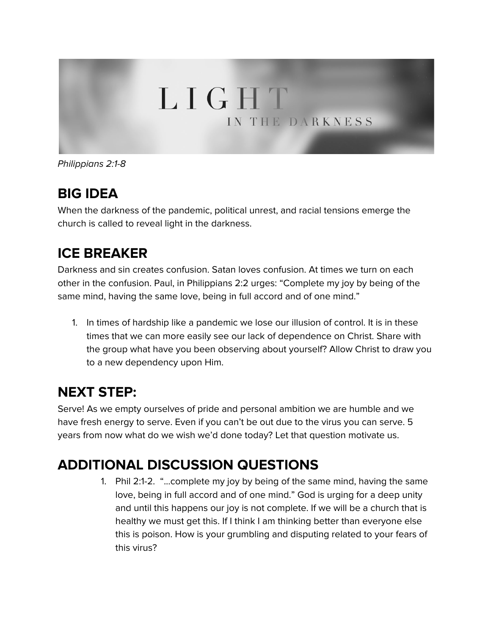

Philippians 2:1-8

# **BIG IDEA**

When the darkness of the pandemic, political unrest, and racial tensions emerge the church is called to reveal light in the darkness.

# **ICE BREAKER**

Darkness and sin creates confusion. Satan loves confusion. At times we turn on each other in the confusion. Paul, in Philippians 2:2 urges: "Complete my joy by being of the same mind, having the same love, being in full accord and of one mind."

1. In times of hardship like a pandemic we lose our illusion of control. It is in these times that we can more easily see our lack of dependence on Christ. Share with the group what have you been observing about yourself? Allow Christ to draw you to a new dependency upon Him.

## **NEXT STEP:**

Serve! As we empty ourselves of pride and personal ambition we are humble and we have fresh energy to serve. Even if you can't be out due to the virus you can serve. 5 years from now what do we wish we'd done today? Let that question motivate us.

## **ADDITIONAL DISCUSSION QUESTIONS**

1. Phil 2:1-2. "...complete my joy by being of the same mind, having the same love, being in full accord and of one mind." God is urging for a deep unity and until this happens our joy is not complete. If we will be a church that is healthy we must get this. If I think I am thinking better than everyone else this is poison. How is your grumbling and disputing related to your fears of this virus?